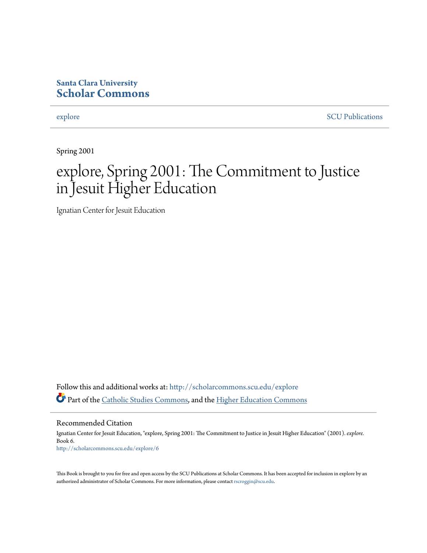### **Santa Clara University [Scholar Commons](http://scholarcommons.scu.edu?utm_source=scholarcommons.scu.edu%2Fexplore%2F6&utm_medium=PDF&utm_campaign=PDFCoverPages)**

[explore](http://scholarcommons.scu.edu/explore?utm_source=scholarcommons.scu.edu%2Fexplore%2F6&utm_medium=PDF&utm_campaign=PDFCoverPages) [SCU Publications](http://scholarcommons.scu.edu/scu_pubs?utm_source=scholarcommons.scu.edu%2Fexplore%2F6&utm_medium=PDF&utm_campaign=PDFCoverPages)

Spring 2001

## explore, Spring 2001: The Commitment to Justice in Jesuit Higher Education

Ignatian Center for Jesuit Education

Follow this and additional works at: [http://scholarcommons.scu.edu/explore](http://scholarcommons.scu.edu/explore?utm_source=scholarcommons.scu.edu%2Fexplore%2F6&utm_medium=PDF&utm_campaign=PDFCoverPages) Part of the [Catholic Studies Commons,](http://network.bepress.com/hgg/discipline/1294?utm_source=scholarcommons.scu.edu%2Fexplore%2F6&utm_medium=PDF&utm_campaign=PDFCoverPages) and the [Higher Education Commons](http://network.bepress.com/hgg/discipline/1245?utm_source=scholarcommons.scu.edu%2Fexplore%2F6&utm_medium=PDF&utm_campaign=PDFCoverPages)

Recommended Citation

Ignatian Center for Jesuit Education, "explore, Spring 2001: The Commitment to Justice in Jesuit Higher Education" (2001). *explore.* Book 6. [http://scholarcommons.scu.edu/explore/6](http://scholarcommons.scu.edu/explore/6?utm_source=scholarcommons.scu.edu%2Fexplore%2F6&utm_medium=PDF&utm_campaign=PDFCoverPages)

This Book is brought to you for free and open access by the SCU Publications at Scholar Commons. It has been accepted for inclusion in explore by an authorized administrator of Scholar Commons. For more information, please contact [rscroggin@scu.edu.](mailto:rscroggin@scu.edu)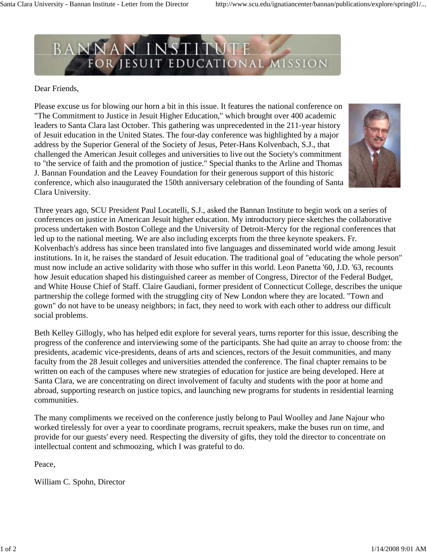# BANNAN INSTITUTE<br>FOR JESUIT EDUCATIONAL MISSION

Dear Friends,

Please excuse us for blowing our horn a bit in this issue. It features the national conference on "The Commitment to Justice in Jesuit Higher Education," which brought over 400 academic leaders to Santa Clara last October. This gathering was unprecedented in the 211-year history of Jesuit education in the United States. The four-day conference was highlighted by a major address by the Superior General of the Society of Jesus, Peter-Hans Kolvenbach, S.J., that challenged the American Jesuit colleges and universities to live out the Society's commitment to "the service of faith and the promotion of justice." Special thanks to the Arline and Thomas J. Bannan Foundation and the Leavey Foundation for their generous support of this historic conference, which also inaugurated the 150th anniversary celebration of the founding of Santa Clara University.



Three years ago, SCU President Paul Locatelli, S.J., asked the Bannan Institute to begin work on a series of conferences on justice in American Jesuit higher education. My introductory piece sketches the collaborative process undertaken with Boston College and the University of Detroit-Mercy for the regional conferences that led up to the national meeting. We are also including excerpts from the three keynote speakers. Fr. Kolvenbach's address has since been translated into five languages and disseminated world wide among Jesuit institutions. In it, he raises the standard of Jesuit education. The traditional goal of "educating the whole person" must now include an active solidarity with those who suffer in this world. Leon Panetta '60, J.D. '63, recounts how Jesuit education shaped his distinguished career as member of Congress, Director of the Federal Budget, and White House Chief of Staff. Claire Gaudiani, former president of Connecticut College, describes the unique partnership the college formed with the struggling city of New London where they are located. "Town and gown" do not have to be uneasy neighbors; in fact, they need to work with each other to address our difficult social problems.

Beth Kelley Gillogly, who has helped edit explore for several years, turns reporter for this issue, describing the progress of the conference and interviewing some of the participants. She had quite an array to choose from: the presidents, academic vice-presidents, deans of arts and sciences, rectors of the Jesuit communities, and many faculty from the 28 Jesuit colleges and universities attended the conference. The final chapter remains to be written on each of the campuses where new strategies of education for justice are being developed. Here at Santa Clara, we are concentrating on direct involvement of faculty and students with the poor at home and abroad, supporting research on justice topics, and launching new programs for students in residential learning communities.

The many compliments we received on the conference justly belong to Paul Woolley and Jane Najour who worked tirelessly for over a year to coordinate programs, recruit speakers, make the buses run on time, and provide for our guests' every need. Respecting the diversity of gifts, they told the director to concentrate on intellectual content and schmoozing, which I was grateful to do.

Peace,

William C. Spohn, Director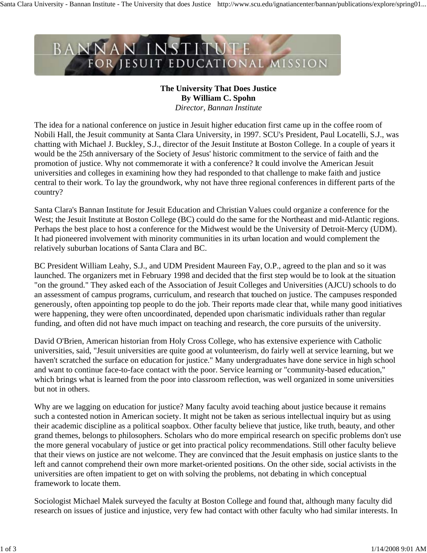## BANNAN INSTITUTE FOR JESUIT EDUCATIONAL MISSION

#### **The University That Does Justice By William C. Spohn** *Director, Bannan Institute*

The idea for a national conference on justice in Jesuit higher education first came up in the coffee room of Nobili Hall, the Jesuit community at Santa Clara University, in 1997. SCU's President, Paul Locatelli, S.J., was chatting with Michael J. Buckley, S.J., director of the Jesuit Institute at Boston College. In a couple of years it would be the 25th anniversary of the Society of Jesus' historic commitment to the service of faith and the promotion of justice. Why not commemorate it with a conference? It could involve the American Jesuit universities and colleges in examining how they had responded to that challenge to make faith and justice central to their work. To lay the groundwork, why not have three regional conferences in different parts of the country?

Santa Clara's Bannan Institute for Jesuit Education and Christian Values could organize a conference for the West; the Jesuit Institute at Boston College (BC) could do the same for the Northeast and mid-Atlantic regions. Perhaps the best place to host a conference for the Midwest would be the University of Detroit-Mercy (UDM). It had pioneered involvement with minority communities in its urban location and would complement the relatively suburban locations of Santa Clara and BC.

BC President William Leahy, S.J., and UDM President Maureen Fay, O.P., agreed to the plan and so it was launched. The organizers met in February 1998 and decided that the first step would be to look at the situation "on the ground." They asked each of the Association of Jesuit Colleges and Universities (AJCU) schools to do an assessment of campus programs, curriculum, and research that touched on justice. The campuses responded generously, often appointing top people to do the job. Their reports made clear that, while many good initiatives were happening, they were often uncoordinated, depended upon charismatic individuals rather than regular funding, and often did not have much impact on teaching and research, the core pursuits of the university.

David O'Brien, American historian from Holy Cross College, who has extensive experience with Catholic universities, said, "Jesuit universities are quite good at volunteerism, do fairly well at service learning, but we haven't scratched the surface on education for justice." Many undergraduates have done service in high school and want to continue face-to-face contact with the poor. Service learning or "community-based education," which brings what is learned from the poor into classroom reflection, was well organized in some universities but not in others.

Why are we lagging on education for justice? Many faculty avoid teaching about justice because it remains such a contested notion in American society. It might not be taken as serious intellectual inquiry but as using their academic discipline as a political soapbox. Other faculty believe that justice, like truth, beauty, and other grand themes, belongs to philosophers. Scholars who do more empirical research on specific problems don't use the more general vocabulary of justice or get into practical policy recommendations. Still other faculty believe that their views on justice are not welcome. They are convinced that the Jesuit emphasis on justice slants to the left and cannot comprehend their own more market-oriented positions. On the other side, social activists in the universities are often impatient to get on with solving the problems, not debating in which conceptual framework to locate them.

Sociologist Michael Malek surveyed the faculty at Boston College and found that, although many faculty did research on issues of justice and injustice, very few had contact with other faculty who had similar interests. In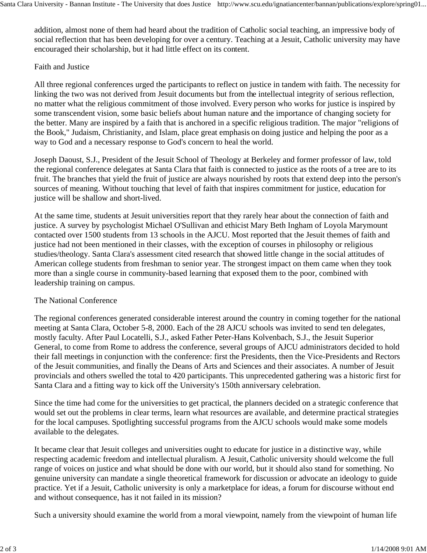addition, almost none of them had heard about the tradition of Catholic social teaching, an impressive body of social reflection that has been developing for over a century. Teaching at a Jesuit, Catholic university may have encouraged their scholarship, but it had little effect on its content.

#### Faith and Justice

All three regional conferences urged the participants to reflect on justice in tandem with faith. The necessity for linking the two was not derived from Jesuit documents but from the intellectual integrity of serious reflection, no matter what the religious commitment of those involved. Every person who works for justice is inspired by some transcendent vision, some basic beliefs about human nature and the importance of changing society for the better. Many are inspired by a faith that is anchored in a specific religious tradition. The major "religions of the Book," Judaism, Christianity, and Islam, place great emphasis on doing justice and helping the poor as a way to God and a necessary response to God's concern to heal the world.

Joseph Daoust, S.J., President of the Jesuit School of Theology at Berkeley and former professor of law, told the regional conference delegates at Santa Clara that faith is connected to justice as the roots of a tree are to its fruit. The branches that yield the fruit of justice are always nourished by roots that extend deep into the person's sources of meaning. Without touching that level of faith that inspires commitment for justice, education for justice will be shallow and short-lived.

At the same time, students at Jesuit universities report that they rarely hear about the connection of faith and justice. A survey by psychologist Michael O'Sullivan and ethicist Mary Beth Ingham of Loyola Marymount contacted over 1500 students from 13 schools in the AJCU. Most reported that the Jesuit themes of faith and justice had not been mentioned in their classes, with the exception of courses in philosophy or religious studies/theology. Santa Clara's assessment cited research that showed little change in the social attitudes of American college students from freshman to senior year. The strongest impact on them came when they took more than a single course in community-based learning that exposed them to the poor, combined with leadership training on campus.

#### The National Conference

The regional conferences generated considerable interest around the country in coming together for the national meeting at Santa Clara, October 5-8, 2000. Each of the 28 AJCU schools was invited to send ten delegates, mostly faculty. After Paul Locatelli, S.J., asked Father Peter-Hans Kolvenbach, S.J., the Jesuit Superior General, to come from Rome to address the conference, several groups of AJCU administrators decided to hold their fall meetings in conjunction with the conference: first the Presidents, then the Vice-Presidents and Rectors of the Jesuit communities, and finally the Deans of Arts and Sciences and their associates. A number of Jesuit provincials and others swelled the total to 420 participants. This unprecedented gathering was a historic first for Santa Clara and a fitting way to kick off the University's 150th anniversary celebration.

Since the time had come for the universities to get practical, the planners decided on a strategic conference that would set out the problems in clear terms, learn what resources are available, and determine practical strategies for the local campuses. Spotlighting successful programs from the AJCU schools would make some models available to the delegates.

It became clear that Jesuit colleges and universities ought to educate for justice in a distinctive way, while respecting academic freedom and intellectual pluralism. A Jesuit, Catholic university should welcome the full range of voices on justice and what should be done with our world, but it should also stand for something. No genuine university can mandate a single theoretical framework for discussion or advocate an ideology to guide practice. Yet if a Jesuit, Catholic university is only a marketplace for ideas, a forum for discourse without end and without consequence, has it not failed in its mission?

Such a university should examine the world from a moral viewpoint, namely from the viewpoint of human life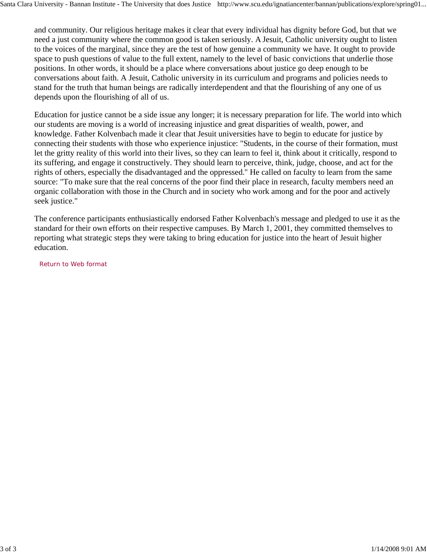and community. Our religious heritage makes it clear that every individual has dignity before God, but that we need a just community where the common good is taken seriously. A Jesuit, Catholic university ought to listen to the voices of the marginal, since they are the test of how genuine a community we have. It ought to provide space to push questions of value to the full extent, namely to the level of basic convictions that underlie those positions. In other words, it should be a place where conversations about justice go deep enough to be conversations about faith. A Jesuit, Catholic university in its curriculum and programs and policies needs to stand for the truth that human beings are radically interdependent and that the flourishing of any one of us depends upon the flourishing of all of us.

Education for justice cannot be a side issue any longer; it is necessary preparation for life. The world into which our students are moving is a world of increasing injustice and great disparities of wealth, power, and knowledge. Father Kolvenbach made it clear that Jesuit universities have to begin to educate for justice by connecting their students with those who experience injustice: "Students, in the course of their formation, must let the gritty reality of this world into their lives, so they can learn to feel it, think about it critically, respond to its suffering, and engage it constructively. They should learn to perceive, think, judge, choose, and act for the rights of others, especially the disadvantaged and the oppressed." He called on faculty to learn from the same source: "To make sure that the real concerns of the poor find their place in research, faculty members need an organic collaboration with those in the Church and in society who work among and for the poor and actively seek justice."

The conference participants enthusiastically endorsed Father Kolvenbach's message and pledged to use it as the standard for their own efforts on their respective campuses. By March 1, 2001, they committed themselves to reporting what strategic steps they were taking to bring education for justice into the heart of Jesuit higher education.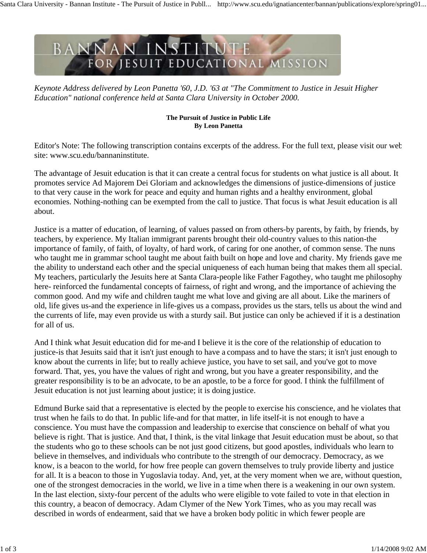

*Keynote Address delivered by Leon Panetta '60, J.D. '63 at "The Commitment to Justice in Jesuit Higher Education" national conference held at Santa Clara University in October 2000.*

#### **The Pursuit of Justice in Public Life By Leon Panetta**

Editor's Note: The following transcription contains excerpts of the address. For the full text, please visit our web site: www.scu.edu/bannaninstitute.

The advantage of Jesuit education is that it can create a central focus for students on what justice is all about. It promotes service Ad Majorem Dei Gloriam and acknowledges the dimensions of justice-dimensions of justice to that very cause in the work for peace and equity and human rights and a healthy environment, global economies. Nothing-nothing can be exempted from the call to justice. That focus is what Jesuit education is all about.

Justice is a matter of education, of learning, of values passed on from others-by parents, by faith, by friends, by teachers, by experience. My Italian immigrant parents brought their old-country values to this nation-the importance of family, of faith, of loyalty, of hard work, of caring for one another, of common sense. The nuns who taught me in grammar school taught me about faith built on hope and love and charity. My friends gave me the ability to understand each other and the special uniqueness of each human being that makes them all special. My teachers, particularly the Jesuits here at Santa Clara-people like Father Fagothey, who taught me philosophy here- reinforced the fundamental concepts of fairness, of right and wrong, and the importance of achieving the common good. And my wife and children taught me what love and giving are all about. Like the mariners of old, life gives us-and the experience in life-gives us a compass, provides us the stars, tells us about the wind and the currents of life, may even provide us with a sturdy sail. But justice can only be achieved if it is a destination for all of us.

And I think what Jesuit education did for me-and I believe it is the core of the relationship of education to justice-is that Jesuits said that it isn't just enough to have a compass and to have the stars; it isn't just enough to know about the currents in life; but to really achieve justice, you have to set sail, and you've got to move forward. That, yes, you have the values of right and wrong, but you have a greater responsibility, and the greater responsibility is to be an advocate, to be an apostle, to be a force for good. I think the fulfillment of Jesuit education is not just learning about justice; it is doing justice.

Edmund Burke said that a representative is elected by the people to exercise his conscience, and he violates that trust when he fails to do that. In public life-and for that matter, in life itself-it is not enough to have a conscience. You must have the compassion and leadership to exercise that conscience on behalf of what you believe is right. That is justice. And that, I think, is the vital linkage that Jesuit education must be about, so that the students who go to these schools can be not just good citizens, but good apostles, individuals who learn to believe in themselves, and individuals who contribute to the strength of our democracy. Democracy, as we know, is a beacon to the world, for how free people can govern themselves to truly provide liberty and justice for all. It is a beacon to those in Yugoslavia today. And, yet, at the very moment when we are, without question, one of the strongest democracies in the world, we live in a time when there is a weakening in our own system. In the last election, sixty-four percent of the adults who were eligible to vote failed to vote in that election in this country, a beacon of democracy. Adam Clymer of the New York Times, who as you may recall was described in words of endearment, said that we have a broken body politic in which fewer people are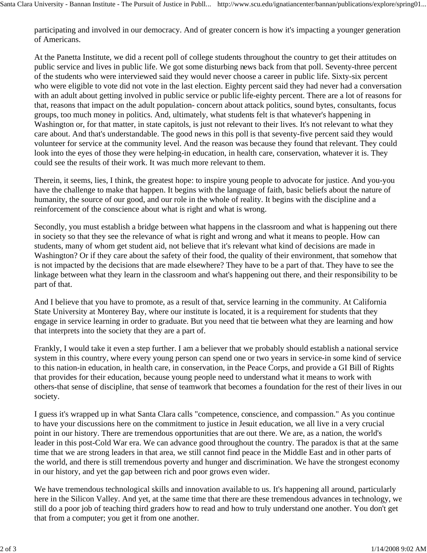participating and involved in our democracy. And of greater concern is how it's impacting a younger generation of Americans.

At the Panetta Institute, we did a recent poll of college students throughout the country to get their attitudes on public service and lives in public life. We got some disturbing news back from that poll. Seventy-three percent of the students who were interviewed said they would never choose a career in public life. Sixty-six percent who were eligible to vote did not vote in the last election. Eighty percent said they had never had a conversation with an adult about getting involved in public service or public life-eighty percent. There are a lot of reasons for that, reasons that impact on the adult population- concern about attack politics, sound bytes, consultants, focus groups, too much money in politics. And, ultimately, what students felt is that whatever's happening in Washington or, for that matter, in state capitols, is just not relevant to their lives. It's not relevant to what they care about. And that's understandable. The good news in this poll is that seventy-five percent said they would volunteer for service at the community level. And the reason was because they found that relevant. They could look into the eyes of those they were helping-in education, in health care, conservation, whatever it is. They could see the results of their work. It was much more relevant to them.

Therein, it seems, lies, I think, the greatest hope: to inspire young people to advocate for justice. And you-you have the challenge to make that happen. It begins with the language of faith, basic beliefs about the nature of humanity, the source of our good, and our role in the whole of reality. It begins with the discipline and a reinforcement of the conscience about what is right and what is wrong.

Secondly, you must establish a bridge between what happens in the classroom and what is happening out there in society so that they see the relevance of what is right and wrong and what it means to people. How can students, many of whom get student aid, not believe that it's relevant what kind of decisions are made in Washington? Or if they care about the safety of their food, the quality of their environment, that somehow that is not impacted by the decisions that are made elsewhere? They have to be a part of that. They have to see the linkage between what they learn in the classroom and what's happening out there, and their responsibility to be part of that.

And I believe that you have to promote, as a result of that, service learning in the community. At California State University at Monterey Bay, where our institute is located, it is a requirement for students that they engage in service learning in order to graduate. But you need that tie between what they are learning and how that interprets into the society that they are a part of.

Frankly, I would take it even a step further. I am a believer that we probably should establish a national service system in this country, where every young person can spend one or two years in service-in some kind of service to this nation-in education, in health care, in conservation, in the Peace Corps, and provide a GI Bill of Rights that provides for their education, because young people need to understand what it means to work with others-that sense of discipline, that sense of teamwork that becomes a foundation for the rest of their lives in our society.

I guess it's wrapped up in what Santa Clara calls "competence, conscience, and compassion." As you continue to have your discussions here on the commitment to justice in Jesuit education, we all live in a very crucial point in our history. There are tremendous opportunities that are out there. We are, as a nation, the world's leader in this post-Cold War era. We can advance good throughout the country. The paradox is that at the same time that we are strong leaders in that area, we still cannot find peace in the Middle East and in other parts of the world, and there is still tremendous poverty and hunger and discrimination. We have the strongest economy in our history, and yet the gap between rich and poor grows even wider.

We have tremendous technological skills and innovation available to us. It's happening all around, particularly here in the Silicon Valley. And yet, at the same time that there are these tremendous advances in technology, we still do a poor job of teaching third graders how to read and how to truly understand one another. You don't get that from a computer; you get it from one another.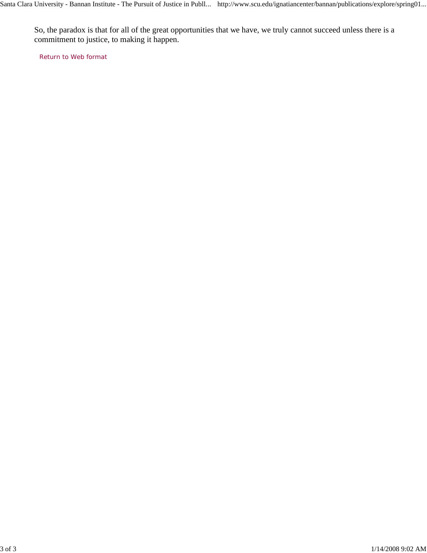So, the paradox is that for all of the great opportunities that we have, we truly cannot succeed unless there is a commitment to justice, to making it happen.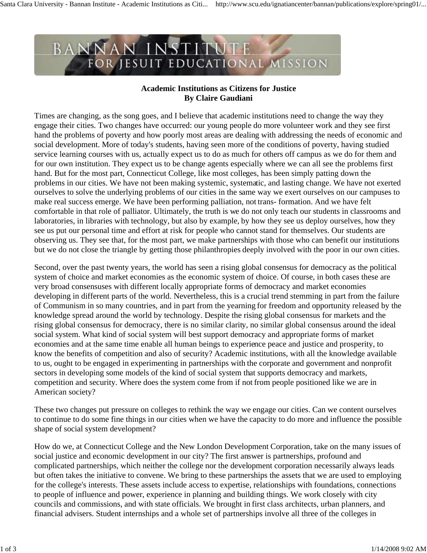## BANNAN INSTITUTE FOR JESUIT EDUCATIONAL MISSION

#### **Academic Institutions as Citizens for Justice By Claire Gaudiani**

Times are changing, as the song goes, and I believe that academic institutions need to change the way they engage their cities. Two changes have occurred: our young people do more volunteer work and they see first hand the problems of poverty and how poorly most areas are dealing with addressing the needs of economic and social development. More of today's students, having seen more of the conditions of poverty, having studied service learning courses with us, actually expect us to do as much for others off campus as we do for them and for our own institution. They expect us to be change agents especially where we can all see the problems first hand. But for the most part, Connecticut College, like most colleges, has been simply patting down the problems in our cities. We have not been making systemic, systematic, and lasting change. We have not exerted ourselves to solve the underlying problems of our cities in the same way we exert ourselves on our campuses to make real success emerge. We have been performing palliation, not trans- formation. And we have felt comfortable in that role of palliator. Ultimately, the truth is we do not only teach our students in classrooms and laboratories, in libraries with technology, but also by example, by how they see us deploy ourselves, how they see us put our personal time and effort at risk for people who cannot stand for themselves. Our students are observing us. They see that, for the most part, we make partnerships with those who can benefit our institutions but we do not close the triangle by getting those philanthropies deeply involved with the poor in our own cities.

Second, over the past twenty years, the world has seen a rising global consensus for democracy as the political system of choice and market economies as the economic system of choice. Of course, in both cases these are very broad consensuses with different locally appropriate forms of democracy and market economies developing in different parts of the world. Nevertheless, this is a crucial trend stemming in part from the failure of Communism in so many countries, and in part from the yearning for freedom and opportunity released by the knowledge spread around the world by technology. Despite the rising global consensus for markets and the rising global consensus for democracy, there is no similar clarity, no similar global consensus around the ideal social system. What kind of social system will best support democracy and appropriate forms of market economies and at the same time enable all human beings to experience peace and justice and prosperity, to know the benefits of competition and also of security? Academic institutions, with all the knowledge available to us, ought to be engaged in experimenting in partnerships with the corporate and government and nonprofit sectors in developing some models of the kind of social system that supports democracy and markets, competition and security. Where does the system come from if not from people positioned like we are in American society?

These two changes put pressure on colleges to rethink the way we engage our cities. Can we content ourselves to continue to do some fine things in our cities when we have the capacity to do more and influence the possible shape of social system development?

How do we, at Connecticut College and the New London Development Corporation, take on the many issues of social justice and economic development in our city? The first answer is partnerships, profound and complicated partnerships, which neither the college nor the development corporation necessarily always leads but often takes the initiative to convene. We bring to these partnerships the assets that we are used to employing for the college's interests. These assets include access to expertise, relationships with foundations, connections to people of influence and power, experience in planning and building things. We work closely with city councils and commissions, and with state officials. We brought in first class architects, urban planners, and financial advisers. Student internships and a whole set of partnerships involve all three of the colleges in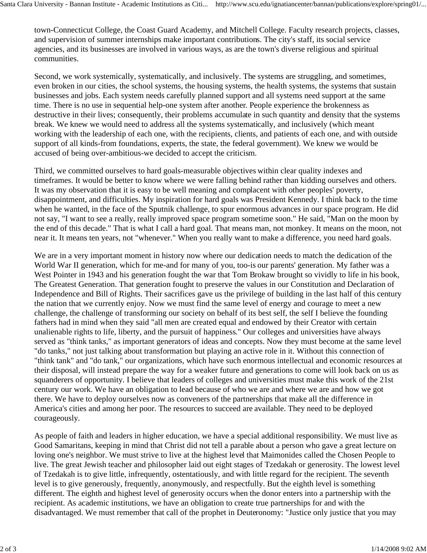town-Connecticut College, the Coast Guard Academy, and Mitchell College. Faculty research projects, classes, and supervision of summer internships make important contributions. The city's staff, its social service agencies, and its businesses are involved in various ways, as are the town's diverse religious and spiritual communities.

Second, we work systemically, systematically, and inclusively. The systems are struggling, and sometimes, even broken in our cities, the school systems, the housing systems, the health systems, the systems that sustain businesses and jobs. Each system needs carefully planned support and all systems need support at the same time. There is no use in sequential help-one system after another. People experience the brokenness as destructive in their lives; consequently, their problems accumulate in such quantity and density that the systems break. We knew we would need to address all the systems systematically, and inclusively (which meant working with the leadership of each one, with the recipients, clients, and patients of each one, and with outside support of all kinds-from foundations, experts, the state, the federal government). We knew we would be accused of being over-ambitious-we decided to accept the criticism.

Third, we committed ourselves to hard goals-measurable objectives within clear quality indexes and timeframes. It would be better to know where we were falling behind rather than kidding ourselves and others. It was my observation that it is easy to be well meaning and complacent with other peoples' poverty, disappointment, and difficulties. My inspiration for hard goals was President Kennedy. I think back to the time when he wanted, in the face of the Sputnik challenge, to spur enormous advances in our space program. He did not say, "I want to see a really, really improved space program sometime soon." He said, "Man on the moon by the end of this decade." That is what I call a hard goal. That means man, not monkey. It means on the moon, not near it. It means ten years, not "whenever." When you really want to make a difference, you need hard goals.

We are in a very important moment in history now where our dedication needs to match the dedication of the World War II generation, which for me-and for many of you, too-is our parents' generation. My father was a West Pointer in 1943 and his generation fought the war that Tom Brokaw brought so vividly to life in his book, The Greatest Generation. That generation fought to preserve the values in our Constitution and Declaration of Independence and Bill of Rights. Their sacrifices gave us the privilege of building in the last half of this century the nation that we currently enjoy. Now we must find the same level of energy and courage to meet a new challenge, the challenge of transforming our society on behalf of its best self, the self I believe the founding fathers had in mind when they said "all men are created equal and endowed by their Creator with certain unalienable rights to life, liberty, and the pursuit of happiness." Our colleges and universities have always served as "think tanks," as important generators of ideas and concepts. Now they must become at the same level "do tanks," not just talking about transformation but playing an active role in it. Without this connection of "think tank" and "do tank," our organizations, which have such enormous intellectual and economic resources at their disposal, will instead prepare the way for a weaker future and generations to come will look back on us as squanderers of opportunity. I believe that leaders of colleges and universities must make this work of the 21st century our work. We have an obligation to lead because of who we are and where we are and how we got there. We have to deploy ourselves now as conveners of the partnerships that make all the difference in America's cities and among her poor. The resources to succeed are available. They need to be deployed courageously.

As people of faith and leaders in higher education, we have a special additional responsibility. We must live as Good Samaritans, keeping in mind that Christ did not tell a parable about a person who gave a great lecture on loving one's neighbor. We must strive to live at the highest level that Maimonides called the Chosen People to live. The great Jewish teacher and philosopher laid out eight stages of Tzedakah or generosity. The lowest level of Tzedakah is to give little, infrequently, ostentatiously, and with little regard for the recipient. The seventh level is to give generously, frequently, anonymously, and respectfully. But the eighth level is something different. The eighth and highest level of generosity occurs when the donor enters into a partnership with the recipient. As academic institutions, we have an obligation to create true partnerships for and with the disadvantaged. We must remember that call of the prophet in Deuteronomy: "Justice only justice that you may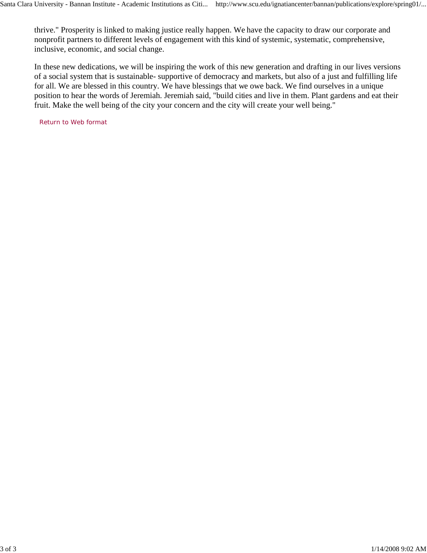thrive." Prosperity is linked to making justice really happen. We have the capacity to draw our corporate and nonprofit partners to different levels of engagement with this kind of systemic, systematic, comprehensive, inclusive, economic, and social change.

In these new dedications, we will be inspiring the work of this new generation and drafting in our lives versions of a social system that is sustainable- supportive of democracy and markets, but also of a just and fulfilling life for all. We are blessed in this country. We have blessings that we owe back. We find ourselves in a unique position to hear the words of Jeremiah. Jeremiah said, "build cities and live in them. Plant gardens and eat their fruit. Make the well being of the city your concern and the city will create your well being."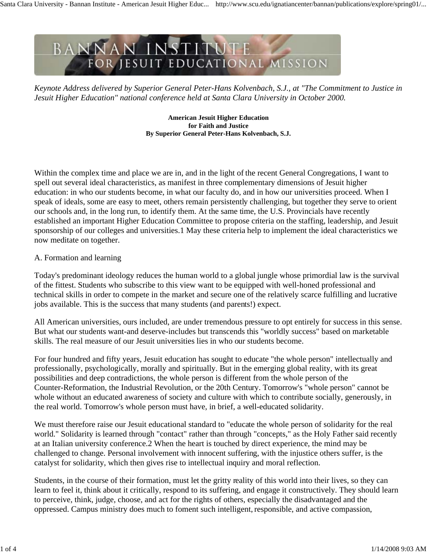

*Keynote Address delivered by Superior General Peter-Hans Kolvenbach, S.J., at "The Commitment to Justice in Jesuit Higher Education" national conference held at Santa Clara University in October 2000.*

> **American Jesuit Higher Education for Faith and Justice By Superior General Peter-Hans Kolvenbach, S.J.**

Within the complex time and place we are in, and in the light of the recent General Congregations, I want to spell out several ideal characteristics, as manifest in three complementary dimensions of Jesuit higher education: in who our students become, in what our faculty do, and in how our universities proceed. When I speak of ideals, some are easy to meet, others remain persistently challenging, but together they serve to orient our schools and, in the long run, to identify them. At the same time, the U.S. Provincials have recently established an important Higher Education Committee to propose criteria on the staffing, leadership, and Jesuit sponsorship of our colleges and universities.1 May these criteria help to implement the ideal characteristics we now meditate on together.

#### A. Formation and learning

Today's predominant ideology reduces the human world to a global jungle whose primordial law is the survival of the fittest. Students who subscribe to this view want to be equipped with well-honed professional and technical skills in order to compete in the market and secure one of the relatively scarce fulfilling and lucrative jobs available. This is the success that many students (and parents!) expect.

All American universities, ours included, are under tremendous pressure to opt entirely for success in this sense. But what our students want-and deserve-includes but transcends this "worldly success" based on marketable skills. The real measure of our Jesuit universities lies in who our students become.

For four hundred and fifty years, Jesuit education has sought to educate "the whole person" intellectually and professionally, psychologically, morally and spiritually. But in the emerging global reality, with its great possibilities and deep contradictions, the whole person is different from the whole person of the Counter-Reformation, the Industrial Revolution, or the 20th Century. Tomorrow's "whole person" cannot be whole without an educated awareness of society and culture with which to contribute socially, generously, in the real world. Tomorrow's whole person must have, in brief, a well-educated solidarity.

We must therefore raise our Jesuit educational standard to "educate the whole person of solidarity for the real world." Solidarity is learned through "contact" rather than through "concepts," as the Holy Father said recently at an Italian university conference.2 When the heart is touched by direct experience, the mind may be challenged to change. Personal involvement with innocent suffering, with the injustice others suffer, is the catalyst for solidarity, which then gives rise to intellectual inquiry and moral reflection.

Students, in the course of their formation, must let the gritty reality of this world into their lives, so they can learn to feel it, think about it critically, respond to its suffering, and engage it constructively. They should learn to perceive, think, judge, choose, and act for the rights of others, especially the disadvantaged and the oppressed. Campus ministry does much to foment such intelligent, responsible, and active compassion,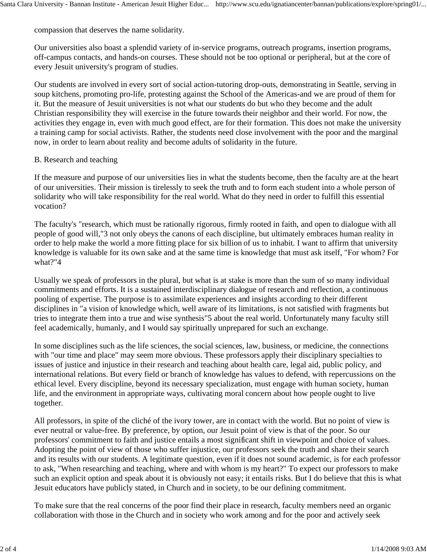compassion that deserves the name solidarity.

Our universities also boast a splendid variety of in-service programs, outreach programs, insertion programs, off-campus contacts, and hands-on courses. These should not be too optional or peripheral, but at the core of every Jesuit university's program of studies.

Our students are involved in every sort of social action-tutoring drop-outs, demonstrating in Seattle, serving in soup kitchens, promoting pro-life, protesting against the School of the Americas-and we are proud of them for it. But the measure of Jesuit universities is not what our students do but who they become and the adult Christian responsibility they will exercise in the future towards their neighbor and their world. For now, the activities they engage in, even with much good effect, are for their formation. This does not make the university a training camp for social activists. Rather, the students need close involvement with the poor and the marginal now, in order to learn about reality and become adults of solidarity in the future.

#### B. Research and teaching

If the measure and purpose of our universities lies in what the students become, then the faculty are at the heart of our universities. Their mission is tirelessly to seek the truth and to form each student into a whole person of solidarity who will take responsibility for the real world. What do they need in order to fulfill this essential vocation?

The faculty's "research, which must be rationally rigorous, firmly rooted in faith, and open to dialogue with all people of good will,"3 not only obeys the canons of each discipline, but ultimately embraces human reality in order to help make the world a more fitting place for six billion of us to inhabit. I want to affirm that university knowledge is valuable for its own sake and at the same time is knowledge that must ask itself, "For whom? For what?"4

Usually we speak of professors in the plural, but what is at stake is more than the sum of so many individual commitments and efforts. It is a sustained interdisciplinary dialogue of research and reflection, a continuous pooling of expertise. The purpose is to assimilate experiences and insights according to their different disciplines in "a vision of knowledge which, well aware of its limitations, is not satisfied with fragments but tries to integrate them into a true and wise synthesis"5 about the real world. Unfortunately many faculty still feel academically, humanly, and I would say spiritually unprepared for such an exchange.

In some disciplines such as the life sciences, the social sciences, law, business, or medicine, the connections with "our time and place" may seem more obvious. These professors apply their disciplinary specialties to issues of justice and injustice in their research and teaching about health care, legal aid, public policy, and international relations. But every field or branch of knowledge has values to defend, with repercussions on the ethical level. Every discipline, beyond its necessary specialization, must engage with human society, human life, and the environment in appropriate ways, cultivating moral concern about how people ought to live together.

All professors, in spite of the cliché of the ivory tower, are in contact with the world. But no point of view is ever neutral or value-free. By preference, by option, our Jesuit point of view is that of the poor. So our professors' commitment to faith and justice entails a most significant shift in viewpoint and choice of values. Adopting the point of view of those who suffer injustice, our professors seek the truth and share their search and its results with our students. A legitimate question, even if it does not sound academic, is for each professor to ask, "When researching and teaching, where and with whom is my heart?" To expect our professors to make such an explicit option and speak about it is obviously not easy; it entails risks. But I do believe that this is what Jesuit educators have publicly stated, in Church and in society, to be our defining commitment.

To make sure that the real concerns of the poor find their place in research, faculty members need an organic collaboration with those in the Church and in society who work among and for the poor and actively seek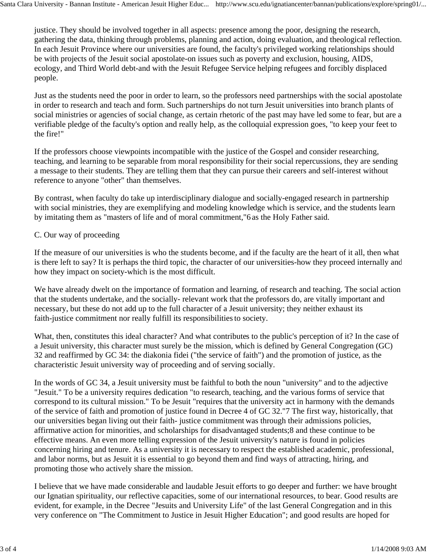justice. They should be involved together in all aspects: presence among the poor, designing the research, gathering the data, thinking through problems, planning and action, doing evaluation, and theological reflection. In each Jesuit Province where our universities are found, the faculty's privileged working relationships should be with projects of the Jesuit social apostolate-on issues such as poverty and exclusion, housing, AIDS, ecology, and Third World debt-and with the Jesuit Refugee Service helping refugees and forcibly displaced people.

Just as the students need the poor in order to learn, so the professors need partnerships with the social apostolate in order to research and teach and form. Such partnerships do not turn Jesuit universities into branch plants of social ministries or agencies of social change, as certain rhetoric of the past may have led some to fear, but are a verifiable pledge of the faculty's option and really help, as the colloquial expression goes, "to keep your feet to the fire!"

If the professors choose viewpoints incompatible with the justice of the Gospel and consider researching, teaching, and learning to be separable from moral responsibility for their social repercussions, they are sending a message to their students. They are telling them that they can pursue their careers and self-interest without reference to anyone "other" than themselves.

By contrast, when faculty do take up interdisciplinary dialogue and socially-engaged research in partnership with social ministries, they are exemplifying and modeling knowledge which is service, and the students learn by imitating them as "masters of life and of moral commitment,"6 as the Holy Father said.

#### C. Our way of proceeding

If the measure of our universities is who the students become, and if the faculty are the heart of it all, then what is there left to say? It is perhaps the third topic, the character of our universities-how they proceed internally and how they impact on society-which is the most difficult.

We have already dwelt on the importance of formation and learning, of research and teaching. The social action that the students undertake, and the socially- relevant work that the professors do, are vitally important and necessary, but these do not add up to the full character of a Jesuit university; they neither exhaust its faith-justice commitment nor really fulfill its responsibilities to society.

What, then, constitutes this ideal character? And what contributes to the public's perception of it? In the case of a Jesuit university, this character must surely be the mission, which is defined by General Congregation (GC) 32 and reaffirmed by GC 34: the diakonia fidei ("the service of faith") and the promotion of justice, as the characteristic Jesuit university way of proceeding and of serving socially.

In the words of GC 34, a Jesuit university must be faithful to both the noun "university" and to the adjective "Jesuit." To be a university requires dedication "to research, teaching, and the various forms of service that correspond to its cultural mission." To be Jesuit "requires that the university act in harmony with the demands of the service of faith and promotion of justice found in Decree 4 of GC 32."7 The first way, historically, that our universities began living out their faith- justice commitment was through their admissions policies, affirmative action for minorities, and scholarships for disadvantaged students;8 and these continue to be effective means. An even more telling expression of the Jesuit university's nature is found in policies concerning hiring and tenure. As a university it is necessary to respect the established academic, professional, and labor norms, but as Jesuit it is essential to go beyond them and find ways of attracting, hiring, and promoting those who actively share the mission.

I believe that we have made considerable and laudable Jesuit efforts to go deeper and further: we have brought our Ignatian spirituality, our reflective capacities, some of our international resources, to bear. Good results are evident, for example, in the Decree "Jesuits and University Life" of the last General Congregation and in this very conference on "The Commitment to Justice in Jesuit Higher Education"; and good results are hoped for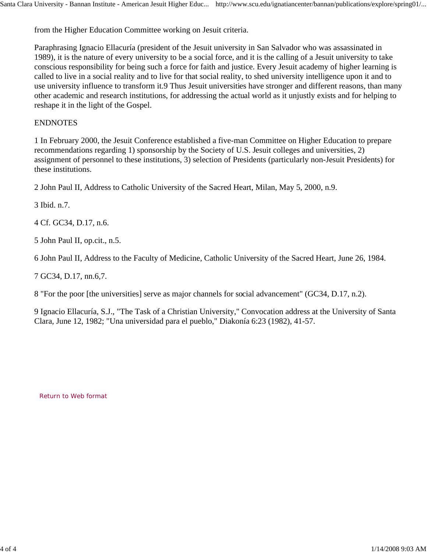from the Higher Education Committee working on Jesuit criteria.

Paraphrasing Ignacio Ellacuría (president of the Jesuit university in San Salvador who was assassinated in 1989), it is the nature of every university to be a social force, and it is the calling of a Jesuit university to take conscious responsibility for being such a force for faith and justice. Every Jesuit academy of higher learning is called to live in a social reality and to live for that social reality, to shed university intelligence upon it and to use university influence to transform it.9 Thus Jesuit universities have stronger and different reasons, than many other academic and research institutions, for addressing the actual world as it unjustly exists and for helping to reshape it in the light of the Gospel.

#### ENDNOTES

1 In February 2000, the Jesuit Conference established a five-man Committee on Higher Education to prepare recommendations regarding 1) sponsorship by the Society of U.S. Jesuit colleges and universities, 2) assignment of personnel to these institutions, 3) selection of Presidents (particularly non-Jesuit Presidents) for these institutions.

2 John Paul II, Address to Catholic University of the Sacred Heart, Milan, May 5, 2000, n.9.

3 Ibid. n.7.

4 Cf. GC34, D.17, n.6.

5 John Paul II, op.cit., n.5.

6 John Paul II, Address to the Faculty of Medicine, Catholic University of the Sacred Heart, June 26, 1984.

7 GC34, D.17, nn.6,7.

8 "For the poor [the universities] serve as major channels for social advancement" (GC34, D.17, n.2).

9 Ignacio Ellacuría, S.J., "The Task of a Christian University," Convocation address at the University of Santa Clara, June 12, 1982; "Una universidad para el pueblo," Diakonía 6:23 (1982), 41-57.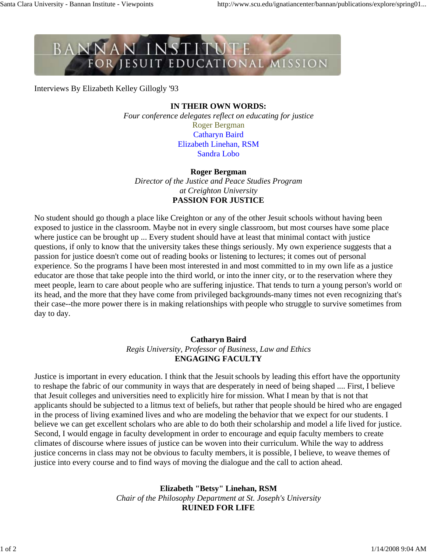

Interviews By Elizabeth Kelley Gillogly '93

#### **IN THEIR OWN WORDS:**

*Four conference delegates reflect on educating for justice* Roger Bergman Catharyn Baird Elizabeth Linehan, RSM Sandra Lobo

#### **Roger Bergman**

*Director of the Justice and Peace Studies Program at Creighton University* **PASSION FOR JUSTICE**

No student should go though a place like Creighton or any of the other Jesuit schools without having been exposed to justice in the classroom. Maybe not in every single classroom, but most courses have some place where justice can be brought up ... Every student should have at least that minimal contact with justice questions, if only to know that the university takes these things seriously. My own experience suggests that a passion for justice doesn't come out of reading books or listening to lectures; it comes out of personal experience. So the programs I have been most interested in and most committed to in my own life as a justice educator are those that take people into the third world, or into the inner city, or to the reservation where they meet people, learn to care about people who are suffering injustice. That tends to turn a young person's world on its head, and the more that they have come from privileged backgrounds-many times not even recognizing that's their case--the more power there is in making relationships with people who struggle to survive sometimes from day to day.

#### **Catharyn Baird** *Regis University, Professor of Business, Law and Ethics* **ENGAGING FACULTY**

Justice is important in every education. I think that the Jesuit schools by leading this effort have the opportunity to reshape the fabric of our community in ways that are desperately in need of being shaped .... First, I believe that Jesuit colleges and universities need to explicitly hire for mission. What I mean by that is not that applicants should be subjected to a litmus text of beliefs, but rather that people should be hired who are engaged in the process of living examined lives and who are modeling the behavior that we expect for our students. I believe we can get excellent scholars who are able to do both their scholarship and model a life lived for justice. Second, I would engage in faculty development in order to encourage and equip faculty members to create climates of discourse where issues of justice can be woven into their curriculum. While the way to address justice concerns in class may not be obvious to faculty members, it is possible, I believe, to weave themes of justice into every course and to find ways of moving the dialogue and the call to action ahead.

> **Elizabeth "Betsy" Linehan, RSM** *Chair of the Philosophy Department at St. Joseph's University* **RUINED FOR LIFE**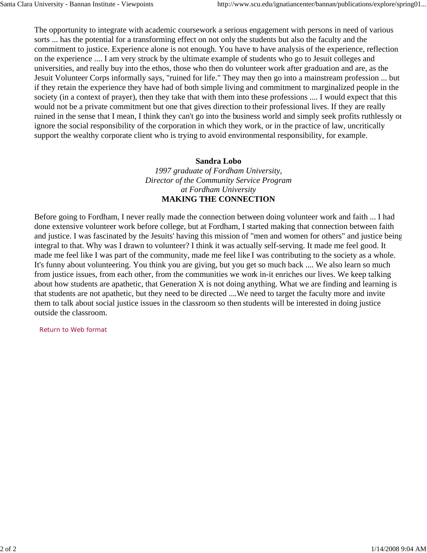The opportunity to integrate with academic coursework a serious engagement with persons in need of various sorts ... has the potential for a transforming effect on not only the students but also the faculty and the commitment to justice. Experience alone is not enough. You have to have analysis of the experience, reflection on the experience .... I am very struck by the ultimate example of students who go to Jesuit colleges and universities, and really buy into the ethos, those who then do volunteer work after graduation and are, as the Jesuit Volunteer Corps informally says, "ruined for life." They may then go into a mainstream profession ... but if they retain the experience they have had of both simple living and commitment to marginalized people in the society (in a context of prayer), then they take that with them into these professions .... I would expect that this would not be a private commitment but one that gives direction to their professional lives. If they are really ruined in the sense that I mean, I think they can't go into the business world and simply seek profits ruthlessly or ignore the social responsibility of the corporation in which they work, or in the practice of law, uncritically support the wealthy corporate client who is trying to avoid environmental responsibility, for example.

#### **Sandra Lobo**

*1997 graduate of Fordham University, Director of the Community Service Program at Fordham University* **MAKING THE CONNECTION**

Before going to Fordham, I never really made the connection between doing volunteer work and faith ... I had done extensive volunteer work before college, but at Fordham, I started making that connection between faith and justice. I was fascinated by the Jesuits' having this mission of "men and women for others" and justice being integral to that. Why was I drawn to volunteer? I think it was actually self-serving. It made me feel good. It made me feel like I was part of the community, made me feel like I was contributing to the society as a whole. It's funny about volunteering. You think you are giving, but you get so much back .... We also learn so much from justice issues, from each other, from the communities we work in-it enriches our lives. We keep talking about how students are apathetic, that Generation X is not doing anything. What we are finding and learning is that students are not apathetic, but they need to be directed ....We need to target the faculty more and invite them to talk about social justice issues in the classroom so then students will be interested in doing justice outside the classroom.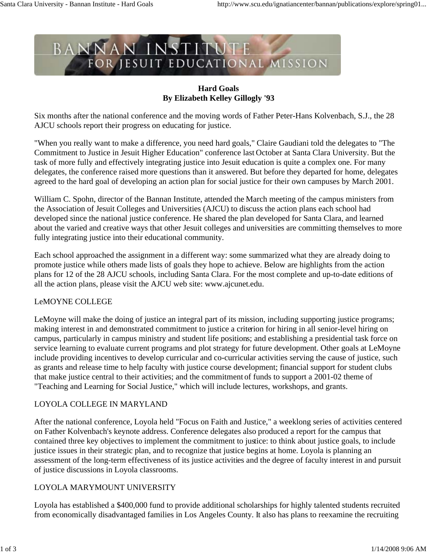## BANNAN INSTITUTE FOR JESUIT EDUCATIONAL MISSION

#### **Hard Goals By Elizabeth Kelley Gillogly '93**

Six months after the national conference and the moving words of Father Peter-Hans Kolvenbach, S.J., the 28 AJCU schools report their progress on educating for justice.

"When you really want to make a difference, you need hard goals," Claire Gaudiani told the delegates to "The Commitment to Justice in Jesuit Higher Education" conference last October at Santa Clara University. But the task of more fully and effectively integrating justice into Jesuit education is quite a complex one. For many delegates, the conference raised more questions than it answered. But before they departed for home, delegates agreed to the hard goal of developing an action plan for social justice for their own campuses by March 2001.

William C. Spohn, director of the Bannan Institute, attended the March meeting of the campus ministers from the Association of Jesuit Colleges and Universities (AJCU) to discuss the action plans each school had developed since the national justice conference. He shared the plan developed for Santa Clara, and learned about the varied and creative ways that other Jesuit colleges and universities are committing themselves to more fully integrating justice into their educational community.

Each school approached the assignment in a different way: some summarized what they are already doing to promote justice while others made lists of goals they hope to achieve. Below are highlights from the action plans for 12 of the 28 AJCU schools, including Santa Clara. For the most complete and up-to-date editions of all the action plans, please visit the AJCU web site: www.ajcunet.edu.

#### LeMOYNE COLLEGE

LeMoyne will make the doing of justice an integral part of its mission, including supporting justice programs; making interest in and demonstrated commitment to justice a criterion for hiring in all senior-level hiring on campus, particularly in campus ministry and student life positions; and establishing a presidential task force on service learning to evaluate current programs and plot strategy for future development. Other goals at LeMoyne include providing incentives to develop curricular and co-curricular activities serving the cause of justice, such as grants and release time to help faculty with justice course development; financial support for student clubs that make justice central to their activities; and the commitment of funds to support a 2001-02 theme of "Teaching and Learning for Social Justice," which will include lectures, workshops, and grants.

#### LOYOLA COLLEGE IN MARYLAND

After the national conference, Loyola held "Focus on Faith and Justice," a weeklong series of activities centered on Father Kolvenbach's keynote address. Conference delegates also produced a report for the campus that contained three key objectives to implement the commitment to justice: to think about justice goals, to include justice issues in their strategic plan, and to recognize that justice begins at home. Loyola is planning an assessment of the long-term effectiveness of its justice activities and the degree of faculty interest in and pursuit of justice discussions in Loyola classrooms.

#### LOYOLA MARYMOUNT UNIVERSITY

Loyola has established a \$400,000 fund to provide additional scholarships for highly talented students recruited from economically disadvantaged families in Los Angeles County. It also has plans to reexamine the recruiting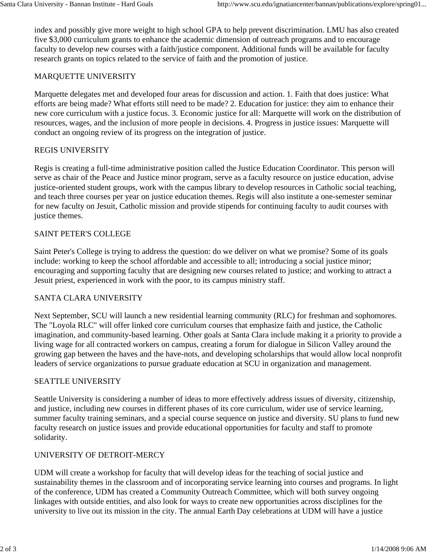index and possibly give more weight to high school GPA to help prevent discrimination. LMU has also created five \$3,000 curriculum grants to enhance the academic dimension of outreach programs and to encourage faculty to develop new courses with a faith/justice component. Additional funds will be available for faculty research grants on topics related to the service of faith and the promotion of justice.

#### MARQUETTE UNIVERSITY

Marquette delegates met and developed four areas for discussion and action. 1. Faith that does justice: What efforts are being made? What efforts still need to be made? 2. Education for justice: they aim to enhance their new core curriculum with a justice focus. 3. Economic justice for all: Marquette will work on the distribution of resources, wages, and the inclusion of more people in decisions. 4. Progress in justice issues: Marquette will conduct an ongoing review of its progress on the integration of justice.

#### REGIS UNIVERSITY

Regis is creating a full-time administrative position called the Justice Education Coordinator. This person will serve as chair of the Peace and Justice minor program, serve as a faculty resource on justice education, advise justice-oriented student groups, work with the campus library to develop resources in Catholic social teaching, and teach three courses per year on justice education themes. Regis will also institute a one-semester seminar for new faculty on Jesuit, Catholic mission and provide stipends for continuing faculty to audit courses with justice themes.

#### SAINT PETER'S COLLEGE

Saint Peter's College is trying to address the question: do we deliver on what we promise? Some of its goals include: working to keep the school affordable and accessible to all; introducing a social justice minor; encouraging and supporting faculty that are designing new courses related to justice; and working to attract a Jesuit priest, experienced in work with the poor, to its campus ministry staff.

#### SANTA CLARA UNIVERSITY

Next September, SCU will launch a new residential learning community (RLC) for freshman and sophomores. The "Loyola RLC" will offer linked core curriculum courses that emphasize faith and justice, the Catholic imagination, and community-based learning. Other goals at Santa Clara include making it a priority to provide a living wage for all contracted workers on campus, creating a forum for dialogue in Silicon Valley around the growing gap between the haves and the have-nots, and developing scholarships that would allow local nonprofit leaders of service organizations to pursue graduate education at SCU in organization and management.

#### SEATTLE UNIVERSITY

Seattle University is considering a number of ideas to more effectively address issues of diversity, citizenship, and justice, including new courses in different phases of its core curriculum, wider use of service learning, summer faculty training seminars, and a special course sequence on justice and diversity. SU plans to fund new faculty research on justice issues and provide educational opportunities for faculty and staff to promote solidarity.

#### UNIVERSITY OF DETROIT-MERCY

UDM will create a workshop for faculty that will develop ideas for the teaching of social justice and sustainability themes in the classroom and of incorporating service learning into courses and programs. In light of the conference, UDM has created a Community Outreach Committee, which will both survey ongoing linkages with outside entities, and also look for ways to create new opportunities across disciplines for the university to live out its mission in the city. The annual Earth Day celebrations at UDM will have a justice